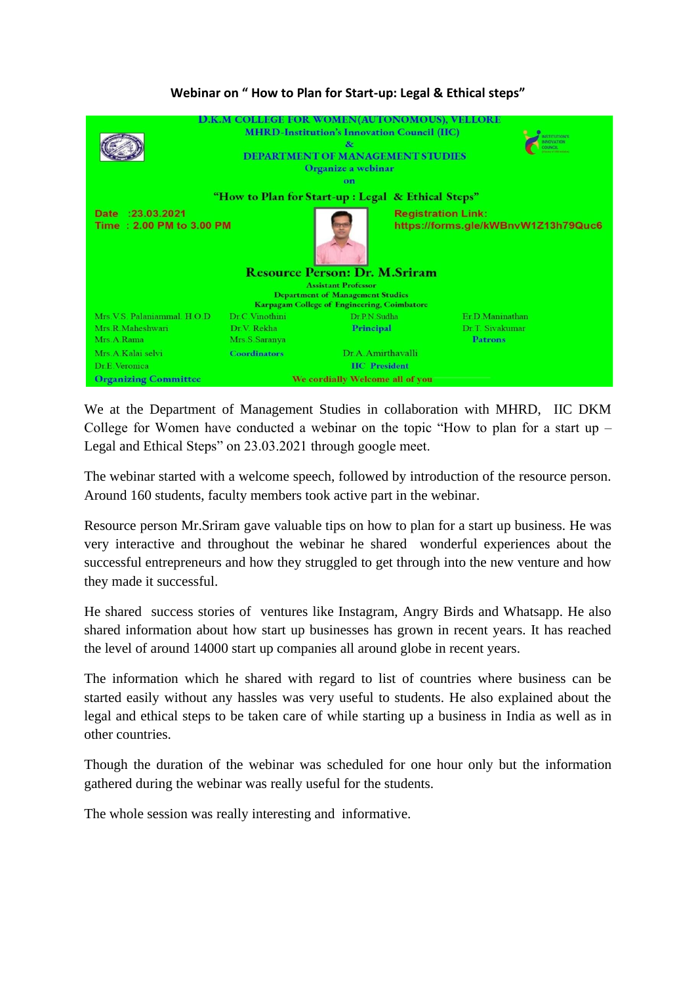## **Webinar on " How to Plan for Start-up: Legal & Ethical steps"**



We at the Department of Management Studies in collaboration with MHRD, IIC DKM College for Women have conducted a webinar on the topic "How to plan for a start up – Legal and Ethical Steps" on 23.03.2021 through google meet.

The webinar started with a welcome speech, followed by introduction of the resource person. Around 160 students, faculty members took active part in the webinar.

Resource person Mr.Sriram gave valuable tips on how to plan for a start up business. He was very interactive and throughout the webinar he shared wonderful experiences about the successful entrepreneurs and how they struggled to get through into the new venture and how they made it successful.

He shared success stories of ventures like Instagram, Angry Birds and Whatsapp. He also shared information about how start up businesses has grown in recent years. It has reached the level of around 14000 start up companies all around globe in recent years.

The information which he shared with regard to list of countries where business can be started easily without any hassles was very useful to students. He also explained about the legal and ethical steps to be taken care of while starting up a business in India as well as in other countries.

Though the duration of the webinar was scheduled for one hour only but the information gathered during the webinar was really useful for the students.

The whole session was really interesting and informative.